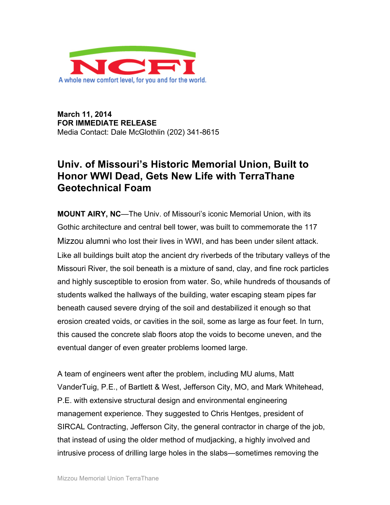

**March 11, 2014 FOR IMMEDIATE RELEASE** Media Contact: Dale McGlothlin (202) 341-8615

## **Univ. of Missouri's Historic Memorial Union, Built to Honor WWI Dead, Gets New Life with TerraThane Geotechnical Foam**

**MOUNT AIRY, NC**—The Univ. of Missouri's iconic Memorial Union, with its Gothic architecture and central bell tower, was built to commemorate the 117 Mizzou alumni who lost their lives in WWI, and has been under silent attack. Like all buildings built atop the ancient dry riverbeds of the tributary valleys of the Missouri River, the soil beneath is a mixture of sand, clay, and fine rock particles and highly susceptible to erosion from water. So, while hundreds of thousands of students walked the hallways of the building, water escaping steam pipes far beneath caused severe drying of the soil and destabilized it enough so that erosion created voids, or cavities in the soil, some as large as four feet. In turn, this caused the concrete slab floors atop the voids to become uneven, and the eventual danger of even greater problems loomed large.

A team of engineers went after the problem, including MU alums, Matt VanderTuig, P.E., of Bartlett & West, Jefferson City, MO, and Mark Whitehead, P.E. with extensive structural design and environmental engineering management experience. They suggested to Chris Hentges, president of SIRCAL Contracting, Jefferson City, the general contractor in charge of the job, that instead of using the older method of mudjacking, a highly involved and intrusive process of drilling large holes in the slabs—sometimes removing the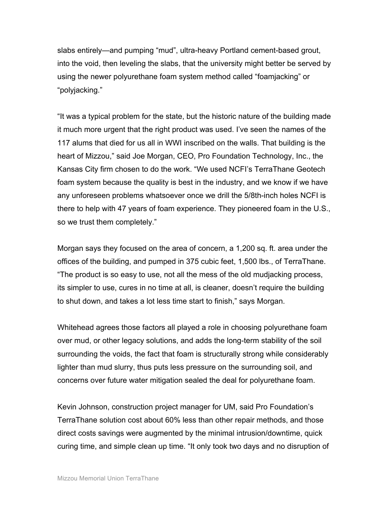slabs entirely—and pumping "mud", ultra-heavy Portland cement-based grout, into the void, then leveling the slabs, that the university might better be served by using the newer polyurethane foam system method called "foamjacking" or "polyjacking."

"It was a typical problem for the state, but the historic nature of the building made it much more urgent that the right product was used. I've seen the names of the 117 alums that died for us all in WWI inscribed on the walls. That building is the heart of Mizzou," said Joe Morgan, CEO, Pro Foundation Technology, Inc., the Kansas City firm chosen to do the work. "We used NCFI's TerraThane Geotech foam system because the quality is best in the industry, and we know if we have any unforeseen problems whatsoever once we drill the 5/8th-inch holes NCFI is there to help with 47 years of foam experience. They pioneered foam in the U.S., so we trust them completely."

Morgan says they focused on the area of concern, a 1,200 sq. ft. area under the offices of the building, and pumped in 375 cubic feet, 1,500 lbs., of TerraThane. "The product is so easy to use, not all the mess of the old mudjacking process, its simpler to use, cures in no time at all, is cleaner, doesn't require the building to shut down, and takes a lot less time start to finish," says Morgan.

Whitehead agrees those factors all played a role in choosing polyurethane foam over mud, or other legacy solutions, and adds the long-term stability of the soil surrounding the voids, the fact that foam is structurally strong while considerably lighter than mud slurry, thus puts less pressure on the surrounding soil, and concerns over future water mitigation sealed the deal for polyurethane foam.

Kevin Johnson, construction project manager for UM, said Pro Foundation's TerraThane solution cost about 60% less than other repair methods, and those direct costs savings were augmented by the minimal intrusion/downtime, quick curing time, and simple clean up time. "It only took two days and no disruption of